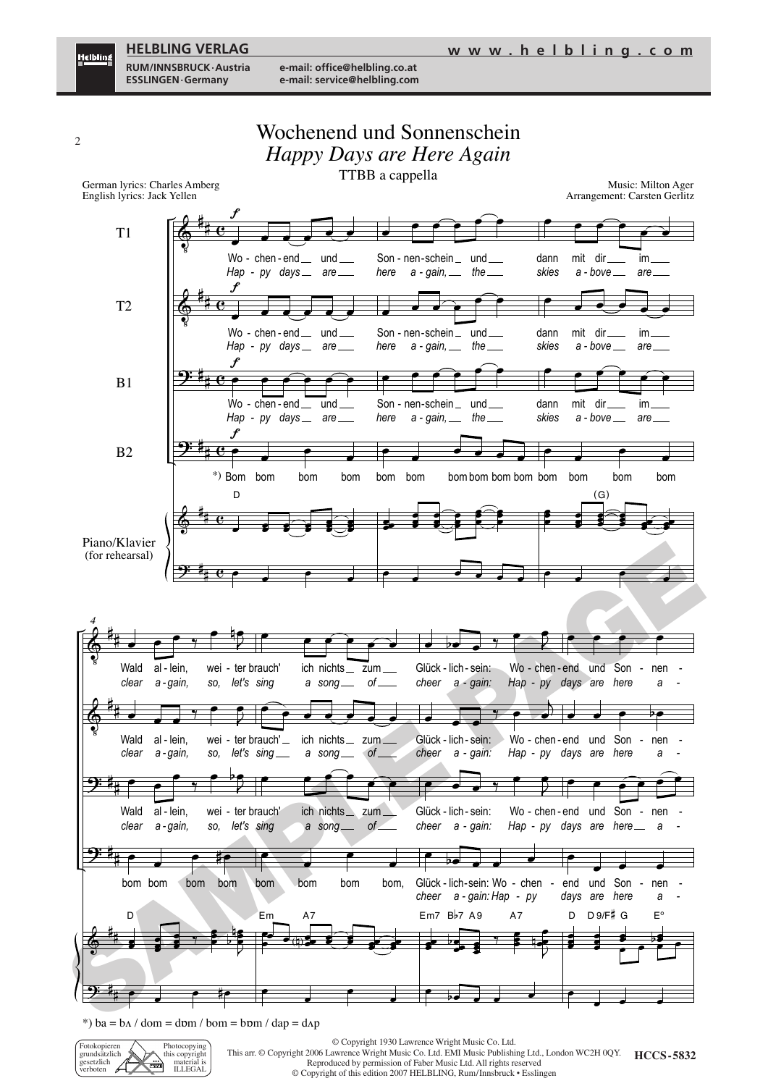<u>Helbling</u>

**RUM/INNSBRUCK·Austria e-mail: office@helbling.co.at**



\*) ba =  $b\Lambda$  / dom = dɒm / bom =  $b$ ɒm / dap = d $\Lambda$ p



© Copyright 1930 Lawrence Wright Music Co. Ltd.

**HCCS - 5832** This arr. © Copyright 006 Lawrence Wright Music Co. Ltd. EMI Music Publishing Ltd., London WC H 0QY. Reproduced by permission of Faber Music Ltd. All rights reserved

© Copyright of this edition 007 HELBLING, Rum/Innsbruck • Esslingen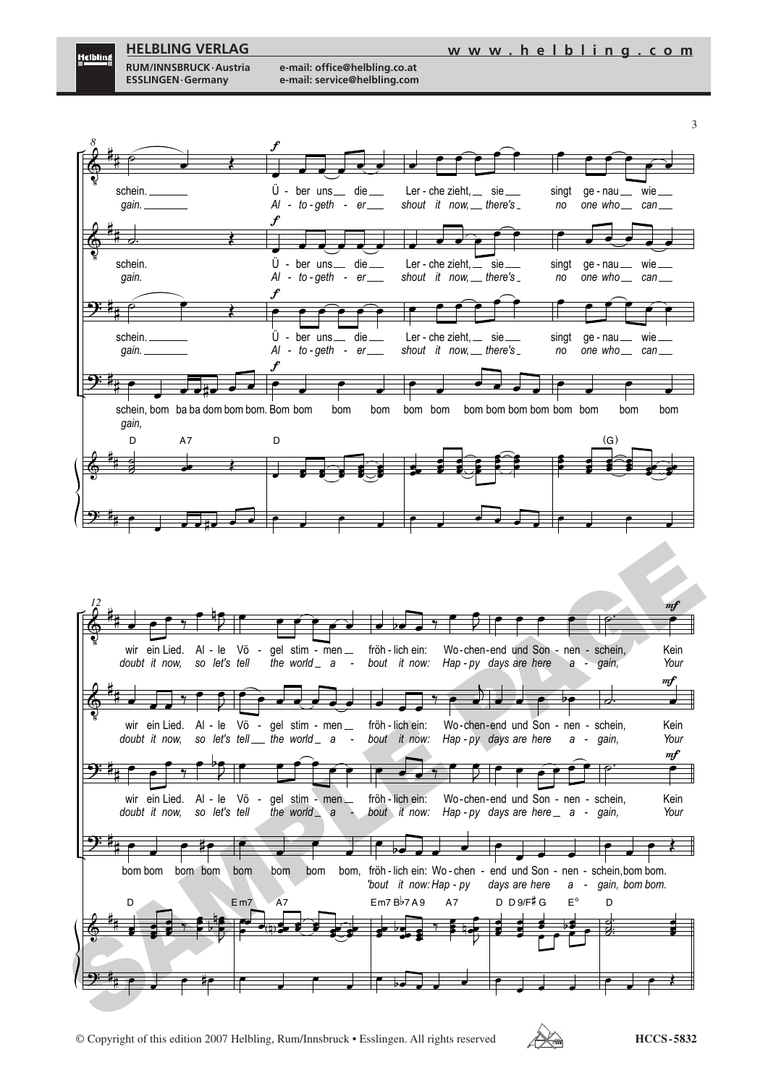

<u>Helbling</u>

**RUM/INNSBRUCK·Austria e-mail: office@helbling.co.at**



© Copyright of this edition 2007 Helbling, Rum/Innsbruck • Esslingen. All rights reserved **HCCS - 5832**